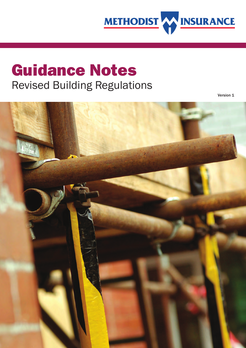

# **Guidance Notes** Revised Building Regulations

Version 1

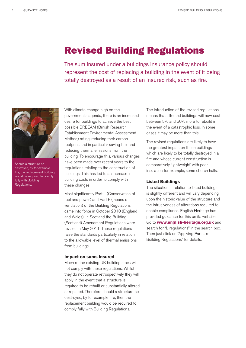# **Revised Building Regulations**

The sum insured under a buildings insurance policy should represent the cost of replacing a building in the event of it being totally destroyed as a result of an insured risk, such as fire.



Should a structure be destroyed, by for example fire, the replacement building would be required to comply fully with Building Regulations.

With climate change high on the government's agenda, there is an increased desire for buildings to achieve the best possible BREEAM (British Research Establishment Environmental Assessment Method) rating, reducing their carbon footprint, and in particular saving fuel and reducing thermal emissions from the building. To encourage this, various changes have been made over recent years to the regulations relating to the construction of buildings. This has led to an increase in building costs in order to comply with these changes.

Most significantly Part L (Conservation of fuel and power) and Part F (means of ventilation) of the Building Regulations came into force in October 2010 (England and Wales). In Scotland the Building (Scotland) Amendment Regulations were revised in May 2011. These regulations raise the standards particularly in relation to the allowable level of thermal emissions from buildings.

#### **Impact on sums insured**

Much of the existing UK building stock will not comply with these regulations. Whilst they do not operate retrospectively they will apply in the event that a structure is required to be rebuilt or substantially altered or repaired. Therefore should a structure be destroyed, by for example fire, then the replacement building would be required to comply fully with Building Regulations.

The introduction of the revised regulations means that affected buildings will now cost between 5% and 50% more to rebuild in the event of a catastrophic loss. In some cases it may be more than this.

The revised regulations are likely to have the greatest impact on those buildings which are likely to be totally destroyed in a fire and whose current construction is comparatively 'lightweight' with poor insulation for example, some church halls.

#### **Listed Buildings**

The situation in relation to listed buildings is slightly different and will vary depending upon the historic value of the structure and the intrusiveness of alterations required to enable compliance. English Heritage has provided guidance for this on its website. Go to **www.english-heritage.org.uk** and search for "L regulations" in the search box. Then just click on "Applying Part L of Building Regulations" for details.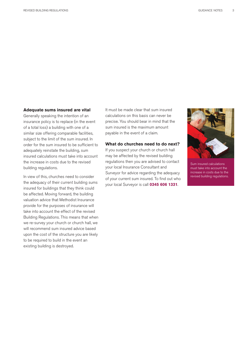#### **Adequate sums insured are vital**

Generally speaking the intention of an insurance policy is to replace (in the event of a total loss) a building with one of a similar size offering comparable facilities, subject to the limit of the sum insured. In order for the sum insured to be sufficient to adequately reinstate the building, sum insured calculations must take into account the increase in costs due to the revised building regulations.

In view of this, churches need to consider the adequacy of their current building sums insured for buildings that they think could be affected. Moving forward, the building valuation advice that Methodist Insurance provide for the purposes of insurance will take into account the effect of the revised Building Regulations. This means that when we re-survey your church or church hall, we will recommend sum insured advice based upon the cost of the structure you are likely to be required to build in the event an existing building is destroyed.

It must be made clear that sum insured calculations on this basis can never be precise. You should bear in mind that the sum insured is the maximum amount payable in the event of a claim.

## **What do churches need to do next?**

If you suspect your church or church hall may be affected by the revised building regulations then you are advised to contact your local Insurance Consultant and Surveyor for advice regarding the adequacy of your current sum insured. To find out who your local Surveyor is call **0345 606 1331**.



Sum insured calculations must take into account the increase in costs due to the revised building regulations.